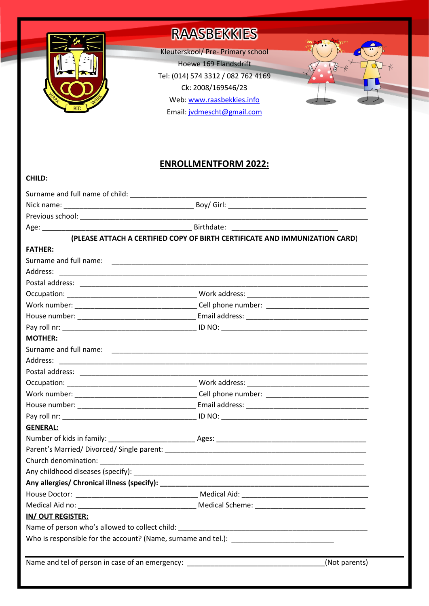

**CHILD:**

# **RAASBEKKIES**

Kleuterskool/ Pre- Primary school Hoewe 169 Elandsdrift Tel: (014) 574 3312 / 082 762 4169 Ck: 2008/169546/23 Web: www.raasbekkies.info Email[: jvdmescht@gmail.com](mailto:jvdmescht@gmail.com)



# **ENROLLMENTFORM 2022:**

|                                                                                   | (PLEASE ATTACH A CERTIFIED COPY OF BIRTH CERTIFICATE AND IMMUNIZATION CARD) |
|-----------------------------------------------------------------------------------|-----------------------------------------------------------------------------|
| <b>FATHER:</b>                                                                    |                                                                             |
|                                                                                   |                                                                             |
|                                                                                   |                                                                             |
|                                                                                   |                                                                             |
|                                                                                   |                                                                             |
|                                                                                   |                                                                             |
|                                                                                   |                                                                             |
|                                                                                   |                                                                             |
| <b>MOTHER:</b>                                                                    |                                                                             |
|                                                                                   |                                                                             |
|                                                                                   |                                                                             |
|                                                                                   |                                                                             |
|                                                                                   |                                                                             |
|                                                                                   |                                                                             |
|                                                                                   |                                                                             |
|                                                                                   |                                                                             |
| <b>GENERAL:</b>                                                                   |                                                                             |
|                                                                                   |                                                                             |
|                                                                                   |                                                                             |
|                                                                                   |                                                                             |
|                                                                                   |                                                                             |
|                                                                                   |                                                                             |
|                                                                                   |                                                                             |
| Medical Aid no:                                                                   | <b>Medical Scheme:</b>                                                      |
| IN/OUT REGISTER:                                                                  |                                                                             |
| Name of person who's allowed to collect child: __________________________________ |                                                                             |
|                                                                                   |                                                                             |
|                                                                                   |                                                                             |
| Name and tel of person in case of an emergency: ________________________________  | (Not parents)                                                               |